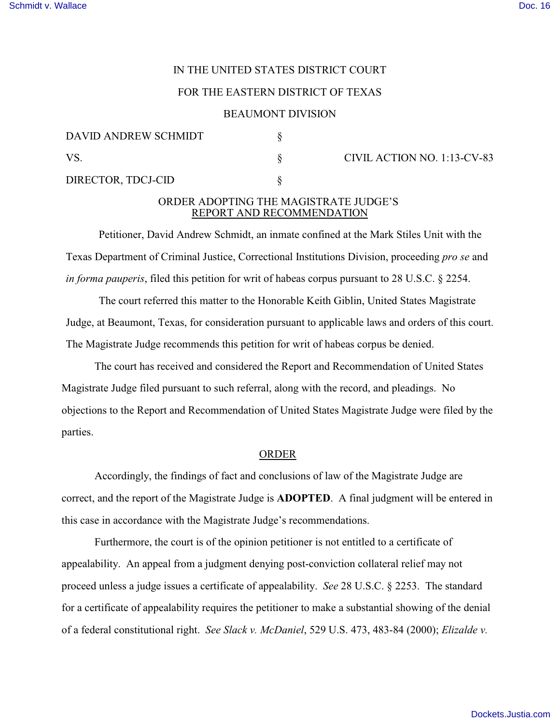# IN THE UNITED STATES DISTRICT COURT

### FOR THE EASTERN DISTRICT OF TEXAS

#### BEAUMONT DIVISION

| DAVID ANDREW SCHMIDT |  |
|----------------------|--|
| VS.                  |  |
| DIRECTOR, TDCJ-CID   |  |

# $\S$  CIVIL ACTION NO. 1:13-CV-83

### ORDER ADOPTING THE MAGISTRATE JUDGE'S REPORT AND RECOMMENDATION

Petitioner, David Andrew Schmidt, an inmate confined at the Mark Stiles Unit with the Texas Department of Criminal Justice, Correctional Institutions Division, proceeding *pro se* and *in forma pauperis*, filed this petition for writ of habeas corpus pursuant to 28 U.S.C. § 2254.

The court referred this matter to the Honorable Keith Giblin, United States Magistrate Judge, at Beaumont, Texas, for consideration pursuant to applicable laws and orders of this court. The Magistrate Judge recommends this petition for writ of habeas corpus be denied.

The court has received and considered the Report and Recommendation of United States Magistrate Judge filed pursuant to such referral, along with the record, and pleadings. No objections to the Report and Recommendation of United States Magistrate Judge were filed by the parties.

#### ORDER

Accordingly, the findings of fact and conclusions of law of the Magistrate Judge are correct, and the report of the Magistrate Judge is **ADOPTED**. A final judgment will be entered in this case in accordance with the Magistrate Judge's recommendations.

Furthermore, the court is of the opinion petitioner is not entitled to a certificate of appealability. An appeal from a judgment denying post-conviction collateral relief may not proceed unless a judge issues a certificate of appealability. *See* 28 U.S.C. § 2253. The standard for a certificate of appealability requires the petitioner to make a substantial showing of the denial of a federal constitutional right. *See Slack v. McDaniel*, 529 U.S. 473, 483-84 (2000); *Elizalde v.*